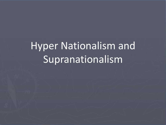# Hyper Nationalism and Supranationalism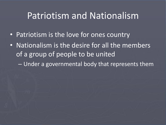#### Patriotism and Nationalism

- Patriotism is the love for ones country
- Nationalism is the desire for all the members of a group of people to be united
	- Under a governmental body that represents them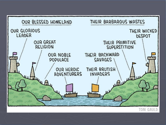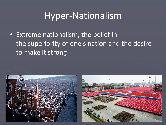### Hyper-Nationalism

• Extreme nationalism, the belief in the superiority of one's nation and the desire to make it strong



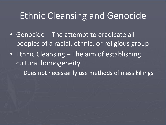#### Ethnic Cleansing and Genocide

- Genocide The attempt to eradicate all peoples of a racial, ethnic, or religious group
- Ethnic Cleansing The aim of establishing cultural homogeneity

– Does not necessarily use methods of mass killings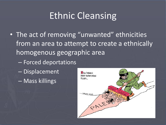## Ethnic Cleansing

- The act of removing "unwanted" ethnicities from an area to attempt to create a ethnically homogenous geographic area
	- Forced deportations
	- Displacement
	- Mass killings

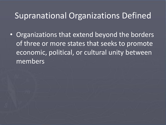#### Supranational Organizations Defined

• Organizations that extend beyond the borders of three or more states that seeks to promote economic, political, or cultural unity between members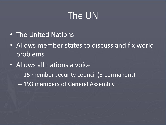## The UN

- The United Nations
- Allows member states to discuss and fix world problems
- Allows all nations a voice
	- 15 member security council (5 permanent)
	- 193 members of General Assembly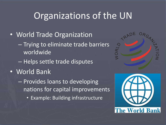## Organizations of the UN

- World Trade Organization
	- Trying to eliminate trade barriers worldwide
	- Helps settle trade disputes
- World Bank
	- Provides loans to developing nations for capital improvements
		- Example: Building infrastructure



**The World Bank**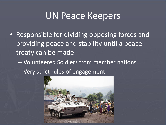#### UN Peace Keepers

- Responsible for dividing opposing forces and providing peace and stability until a peace treaty can be made
	- Volunteered Soldiers from member nations
	- Very strict rules of engagement

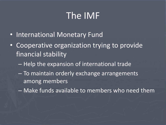## The IMF

- International Monetary Fund
- Cooperative organization trying to provide financial stability
	- Help the expansion of international trade
	- To maintain orderly exchange arrangements among members
	- Make funds available to members who need them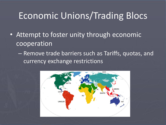## Economic Unions/Trading Blocs

- Attempt to foster unity through economic cooperation
	- Remove trade barriers such as Tariffs, quotas, and currency exchange restrictions